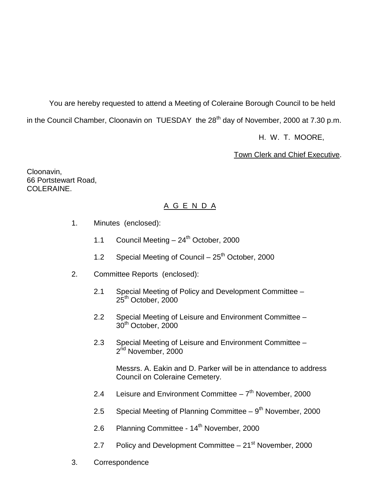You are hereby requested to attend a Meeting of Coleraine Borough Council to be held in the Council Chamber, Cloonavin on TUESDAY the  $28<sup>th</sup>$  day of November, 2000 at 7.30 p.m.

H. W. T. MOORE,

Town Clerk and Chief Executive.

Cloonavin, 66 Portstewart Road, COLERAINE.

# A G E N D A

- 1. Minutes (enclosed):
	- 1.1 Council Meeting  $-24^{th}$  October, 2000
	- 1.2 Special Meeting of Council  $-25<sup>th</sup>$  October, 2000
- 2. Committee Reports (enclosed):
	- 2.1 Special Meeting of Policy and Development Committee  $25<sup>th</sup>$  October, 2000
	- 2.2 Special Meeting of Leisure and Environment Committee 30th October, 2000
	- 2.3 Special Meeting of Leisure and Environment Committee 2<sup>nd</sup> November, 2000

Messrs. A. Eakin and D. Parker will be in attendance to address Council on Coleraine Cemetery.

- 2.4 Leisure and Environment Committee  $-7<sup>th</sup>$  November, 2000
- 2.5 Special Meeting of Planning Committee  $-9<sup>th</sup>$  November, 2000
- 2.6 Planning Committee 14<sup>th</sup> November, 2000
- 2.7 Policy and Development Committee  $-21<sup>st</sup>$  November, 2000
- 3. Correspondence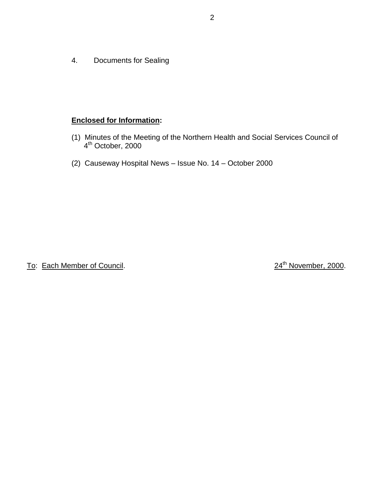4. Documents for Sealing

# **Enclosed for Information:**

- (1) Minutes of the Meeting of the Northern Health and Social Services Council of  $4<sup>th</sup>$  October, 2000
- (2) Causeway Hospital News Issue No. 14 October 2000

To: Each Member of Council. 2000.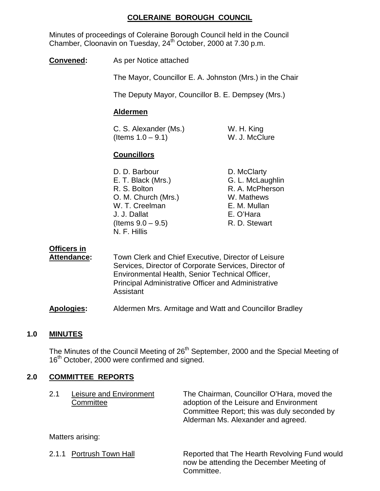### **COLERAINE BOROUGH COUNCIL**

Minutes of proceedings of Coleraine Borough Council held in the Council Chamber, Cloonavin on Tuesday, 24<sup>th</sup> October, 2000 at 7.30 p.m.

**Convened:** As per Notice attached

The Mayor, Councillor E. A. Johnston (Mrs.) in the Chair

The Deputy Mayor, Councillor B. E. Dempsey (Mrs.)

#### **Aldermen**

C. S. Alexander (Ms.) W. H. King  $($ ltems  $1.0 - 9.1)$  W. J. McClure

#### **Councillors**

D. D. Barbour D. McClarty E. T. Black (Mrs.) G. L. McLaughlin R. S. Bolton R. A. McPherson O. M. Church (Mrs.) W. Mathews W. T. Creelman E. M. Mullan J. J. Dallat E. O'Hara  $($ ltems  $9.0 - 9.5)$  R. D. Stewart N. F. Hillis

#### **Officers in**

**Attendance:** Town Clerk and Chief Executive, Director of Leisure Services, Director of Corporate Services, Director of Environmental Health, Senior Technical Officer, Principal Administrative Officer and Administrative Assistant

**Apologies:** Aldermen Mrs. Armitage and Watt and Councillor Bradley

#### **1.0 MINUTES**

The Minutes of the Council Meeting of 26<sup>th</sup> September, 2000 and the Special Meeting of 16<sup>th</sup> October, 2000 were confirmed and signed.

### **2.0 COMMITTEE REPORTS**

| 2.1 | Leisure and Environment | The Chairman, Councillor O'Hara, moved the                                        |
|-----|-------------------------|-----------------------------------------------------------------------------------|
|     | Committee               | adoption of the Leisure and Environment                                           |
|     |                         | Committee Report; this was duly seconded by<br>Alderman Ms. Alexander and agreed. |
|     | Mattare arising:        |                                                                                   |

Matters arising:

2.1.1 Portrush Town Hall Reported that The Hearth Revolving Fund would now be attending the December Meeting of Committee.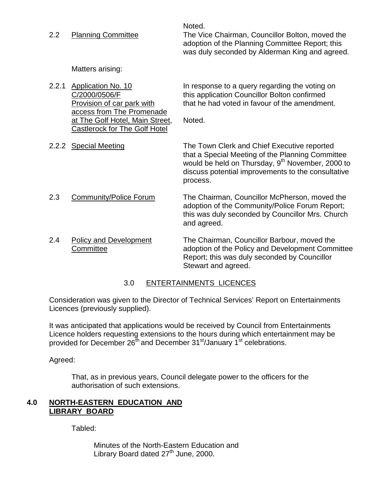Noted. 2.2 Planning Committee The Vice Chairman, Councillor Bolton, moved the adoption of the Planning Committee Report; this was duly seconded by Alderman King and agreed.

Matters arising:

access from The Promenade at The Golf Hotel, Main Street, Noted. Castlerock for The Golf Hotel

2.2.1 Application No. 10 **In response to a query regarding the voting on** C/2000/0506/F this application Councillor Bolton confirmed Provision of car park with that he had voted in favour of the amendment.

2.2.2 Special Meeting The Town Clerk and Chief Executive reported that a Special Meeting of the Planning Committee would be held on Thursday, 9<sup>th</sup> November, 2000 to discuss potential improvements to the consultative process.

- 2.3 Community/Police Forum The Chairman, Councillor McPherson, moved the adoption of the Community/Police Forum Report; this was duly seconded by Councillor Mrs. Church and agreed.
- 2.4 Policy and Development The Chairman, Councillor Barbour, moved the Committee adoption of the Policy and Development Committee Report; this was duly seconded by Councillor Stewart and agreed.

### 3.0 ENTERTAINMENTS LICENCES

Consideration was given to the Director of Technical Services' Report on Entertainments Licences (previously supplied).

It was anticipated that applications would be received by Council from Entertainments Licence holders requesting extensions to the hours during which entertainment may be provided for December  $26^{th}$  and December  $31^{st}/J$ anuary  $1^{st}$  celebrations.

Agreed:

That, as in previous years, Council delegate power to the officers for the authorisation of such extensions.

#### **4.0 NORTH-EASTERN EDUCATION AND LIBRARY BOARD**

Tabled:

Minutes of the North-Eastern Education and Library Board dated  $27<sup>th</sup>$  June, 2000.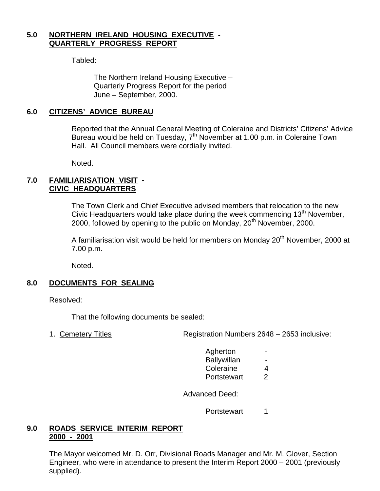#### **5.0 NORTHERN IRELAND HOUSING EXECUTIVE - QUARTERLY PROGRESS REPORT**

Tabled:

The Northern Ireland Housing Executive – Quarterly Progress Report for the period June – September, 2000.

#### **6.0 CITIZENS' ADVICE BUREAU**

Reported that the Annual General Meeting of Coleraine and Districts' Citizens' Advice Bureau would be held on Tuesday, 7<sup>th</sup> November at 1.00 p.m. in Coleraine Town Hall. All Council members were cordially invited.

Noted.

#### **7.0 FAMILIARISATION VISIT - CIVIC HEADQUARTERS**

The Town Clerk and Chief Executive advised members that relocation to the new Civic Headquarters would take place during the week commencing 13<sup>th</sup> November, 2000, followed by opening to the public on Monday, 20<sup>th</sup> November, 2000.

A familiarisation visit would be held for members on Monday  $20<sup>th</sup>$  November, 2000 at 7.00 p.m.

Noted.

#### **8.0 DOCUMENTS FOR SEALING**

Resolved:

That the following documents be sealed:

1. Cemetery Titles Registration Numbers 2648 – 2653 inclusive:

- Agherton **Ballywillan** Coleraine 4
- Portstewart 2

Advanced Deed:

Portstewart 1

#### **9.0 ROADS SERVICE INTERIM REPORT 2000 - 2001**

The Mayor welcomed Mr. D. Orr, Divisional Roads Manager and Mr. M. Glover, Section Engineer, who were in attendance to present the Interim Report 2000 – 2001 (previously supplied).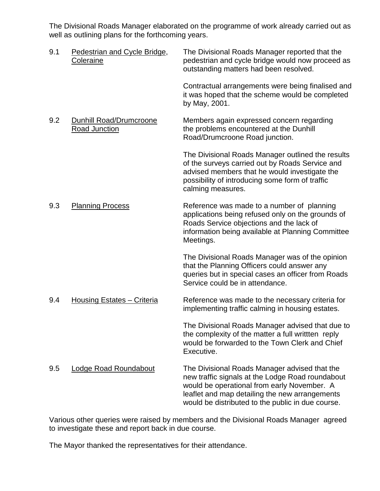The Divisional Roads Manager elaborated on the programme of work already carried out as well as outlining plans for the forthcoming years.

| 9.1 | Pedestrian and Cycle Bridge,<br>Coleraine       | The Divisional Roads Manager reported that the<br>pedestrian and cycle bridge would now proceed as<br>outstanding matters had been resolved.                                                                                                            |
|-----|-------------------------------------------------|---------------------------------------------------------------------------------------------------------------------------------------------------------------------------------------------------------------------------------------------------------|
|     |                                                 | Contractual arrangements were being finalised and<br>it was hoped that the scheme would be completed<br>by May, 2001.                                                                                                                                   |
| 9.2 | Dunhill Road/Drumcroone<br><b>Road Junction</b> | Members again expressed concern regarding<br>the problems encountered at the Dunhill<br>Road/Drumcroone Road junction.                                                                                                                                  |
|     |                                                 | The Divisional Roads Manager outlined the results<br>of the surveys carried out by Roads Service and<br>advised members that he would investigate the<br>possibility of introducing some form of traffic<br>calming measures.                           |
| 9.3 | <b>Planning Process</b>                         | Reference was made to a number of planning<br>applications being refused only on the grounds of<br>Roads Service objections and the lack of<br>information being available at Planning Committee<br>Meetings.                                           |
|     |                                                 | The Divisional Roads Manager was of the opinion<br>that the Planning Officers could answer any<br>queries but in special cases an officer from Roads<br>Service could be in attendance.                                                                 |
| 9.4 | Housing Estates - Criteria                      | Reference was made to the necessary criteria for<br>implementing traffic calming in housing estates.                                                                                                                                                    |
|     |                                                 | The Divisional Roads Manager advised that due to<br>the complexity of the matter a full written reply<br>would be forwarded to the Town Clerk and Chief<br>Executive.                                                                                   |
| 9.5 | <b>Lodge Road Roundabout</b>                    | The Divisional Roads Manager advised that the<br>new traffic signals at the Lodge Road roundabout<br>would be operational from early November. A<br>leaflet and map detailing the new arrangements<br>would be distributed to the public in due course. |

Various other queries were raised by members and the Divisional Roads Manager agreed to investigate these and report back in due course.

The Mayor thanked the representatives for their attendance.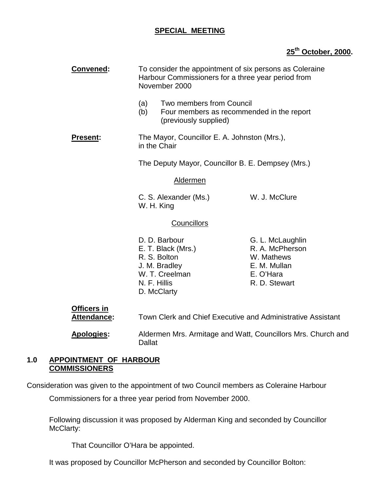### **SPECIAL MEETING**

# **25th October, 2000.**

| Convened:<br>To consider the appointment of six persons as Coleraine<br>Harbour Commissioners for a three year period from<br>November 2000 |                                                                                                                       |                                                                                                 |  |
|---------------------------------------------------------------------------------------------------------------------------------------------|-----------------------------------------------------------------------------------------------------------------------|-------------------------------------------------------------------------------------------------|--|
|                                                                                                                                             | Two members from Council<br>(a)<br>(b)<br>(previously supplied)                                                       | Four members as recommended in the report                                                       |  |
| <b>Present:</b>                                                                                                                             | The Mayor, Councillor E. A. Johnston (Mrs.),<br>in the Chair                                                          |                                                                                                 |  |
|                                                                                                                                             | The Deputy Mayor, Councillor B. E. Dempsey (Mrs.)                                                                     |                                                                                                 |  |
|                                                                                                                                             | <b>Aldermen</b>                                                                                                       |                                                                                                 |  |
|                                                                                                                                             | C. S. Alexander (Ms.)<br>W. H. King                                                                                   | W. J. McClure                                                                                   |  |
|                                                                                                                                             | Councillors                                                                                                           |                                                                                                 |  |
|                                                                                                                                             | D. D. Barbour<br>E. T. Black (Mrs.)<br>R. S. Bolton<br>J. M. Bradley<br>W. T. Creelman<br>N. F. Hillis<br>D. McClarty | G. L. McLaughlin<br>R. A. McPherson<br>W. Mathews<br>E. M. Mullan<br>E. O'Hara<br>R. D. Stewart |  |
| <b>Officers in</b><br><b>Attendance:</b>                                                                                                    |                                                                                                                       | Town Clerk and Chief Executive and Administrative Assistant                                     |  |
| Apologies:                                                                                                                                  | <b>Dallat</b>                                                                                                         | Aldermen Mrs. Armitage and Watt, Councillors Mrs. Church and                                    |  |

#### **1.0 APPOINTMENT OF HARBOUR COMMISSIONERS**

Consideration was given to the appointment of two Council members as Coleraine Harbour

Commissioners for a three year period from November 2000.

Following discussion it was proposed by Alderman King and seconded by Councillor McClarty:

That Councillor O'Hara be appointed.

It was proposed by Councillor McPherson and seconded by Councillor Bolton: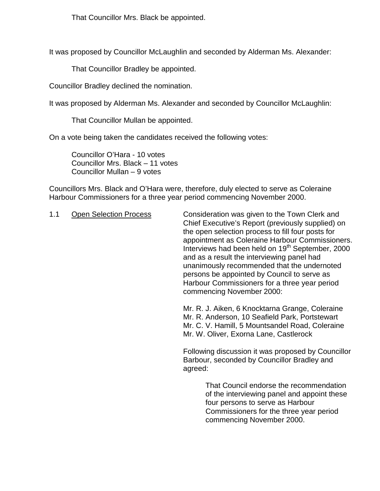That Councillor Mrs. Black be appointed.

It was proposed by Councillor McLaughlin and seconded by Alderman Ms. Alexander:

That Councillor Bradley be appointed.

Councillor Bradley declined the nomination.

It was proposed by Alderman Ms. Alexander and seconded by Councillor McLaughlin:

That Councillor Mullan be appointed.

On a vote being taken the candidates received the following votes:

Councillor O'Hara - 10 votes Councillor Mrs. Black – 11 votes Councillor Mullan – 9 votes

Councillors Mrs. Black and O'Hara were, therefore, duly elected to serve as Coleraine Harbour Commissioners for a three year period commencing November 2000.

1.1 Open Selection Process Consideration was given to the Town Clerk and Chief Executive's Report (previously supplied) on the open selection process to fill four posts for appointment as Coleraine Harbour Commissioners. Interviews had been held on  $19<sup>th</sup>$  September, 2000 and as a result the interviewing panel had unanimously recommended that the undernoted persons be appointed by Council to serve as Harbour Commissioners for a three year period commencing November 2000:

> Mr. R. J. Aiken, 6 Knocktarna Grange, Coleraine Mr. R. Anderson, 10 Seafield Park, Portstewart Mr. C. V. Hamill, 5 Mountsandel Road, Coleraine Mr. W. Oliver, Exorna Lane, Castlerock

Following discussion it was proposed by Councillor Barbour, seconded by Councillor Bradley and agreed:

> That Council endorse the recommendation of the interviewing panel and appoint these four persons to serve as Harbour Commissioners for the three year period commencing November 2000.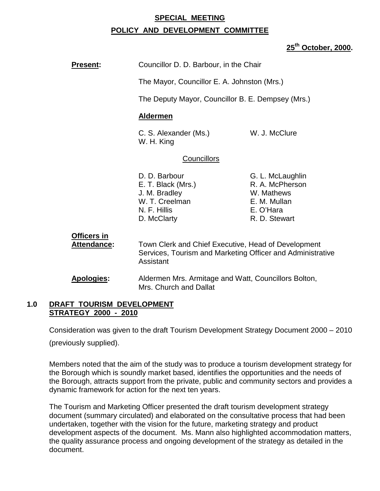#### **SPECIAL MEETING**

#### **POLICY AND DEVELOPMENT COMMITTEE**

#### **25th October, 2000.**

| <b>Present:</b>                                      | Councillor D. D. Barbour, in the Chair                                                                                         |                                                                                                 |
|------------------------------------------------------|--------------------------------------------------------------------------------------------------------------------------------|-------------------------------------------------------------------------------------------------|
|                                                      | The Mayor, Councillor E. A. Johnston (Mrs.)                                                                                    |                                                                                                 |
|                                                      | The Deputy Mayor, Councillor B. E. Dempsey (Mrs.)                                                                              |                                                                                                 |
|                                                      | <b>Aldermen</b>                                                                                                                |                                                                                                 |
| W. J. McClure<br>C. S. Alexander (Ms.)<br>W. H. King |                                                                                                                                |                                                                                                 |
|                                                      | <b>Councillors</b>                                                                                                             |                                                                                                 |
|                                                      | D. D. Barbour<br>E. T. Black (Mrs.)<br>J. M. Bradley<br>W. T. Creelman<br>N. F. Hillis<br>D. McClarty                          | G. L. McLaughlin<br>R. A. McPherson<br>W. Mathews<br>E. M. Mullan<br>E. O'Hara<br>R. D. Stewart |
| Officers in<br>Attendance:                           | Town Clerk and Chief Executive, Head of Development<br>Services, Tourism and Marketing Officer and Administrative<br>Assistant |                                                                                                 |
| <b>Apologies:</b>                                    | Aldermen Mrs. Armitage and Watt, Councillors Bolton,<br>Mrs. Church and Dallat                                                 |                                                                                                 |

#### **1.0 DRAFT TOURISM DEVELOPMENT STRATEGY 2000 - 2010**

Consideration was given to the draft Tourism Development Strategy Document 2000 – 2010

(previously supplied).

Members noted that the aim of the study was to produce a tourism development strategy for the Borough which is soundly market based, identifies the opportunities and the needs of the Borough, attracts support from the private, public and community sectors and provides a dynamic framework for action for the next ten years.

The Tourism and Marketing Officer presented the draft tourism development strategy document (summary circulated) and elaborated on the consultative process that had been undertaken, together with the vision for the future, marketing strategy and product development aspects of the document. Ms. Mann also highlighted accommodation matters, the quality assurance process and ongoing development of the strategy as detailed in the document.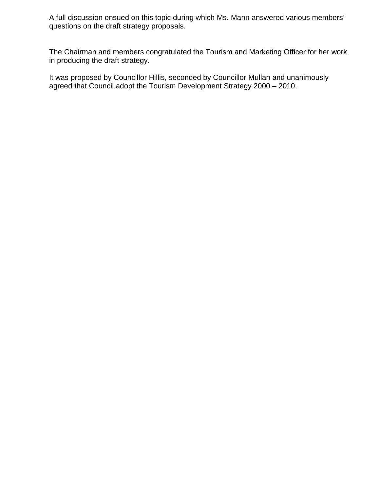A full discussion ensued on this topic during which Ms. Mann answered various members' questions on the draft strategy proposals.

The Chairman and members congratulated the Tourism and Marketing Officer for her work in producing the draft strategy.

It was proposed by Councillor Hillis, seconded by Councillor Mullan and unanimously agreed that Council adopt the Tourism Development Strategy 2000 – 2010.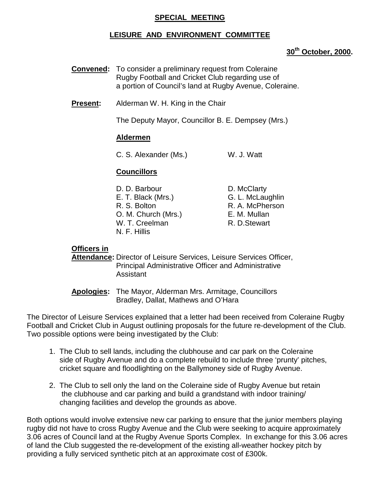#### **SPECIAL MEETING**

#### **LEISURE AND ENVIRONMENT COMMITTEE**

#### **30th October, 2000.**

- **Convened:** To consider a preliminary request from Coleraine Rugby Football and Cricket Club regarding use of a portion of Council's land at Rugby Avenue, Coleraine.
- **Present:** Alderman W. H. King in the Chair

The Deputy Mayor, Councillor B. E. Dempsey (Mrs.)

#### **Aldermen**

C. S. Alexander (Ms.) W. J. Watt

### **Councillors**

| D. D. Barbour       | D. McClarty      |
|---------------------|------------------|
| E. T. Black (Mrs.)  | G. L. McLaughlin |
| R. S. Bolton        | R. A. McPherson  |
| O. M. Church (Mrs.) | E. M. Mullan     |
| W. T. Creelman      | R. D. Stewart    |
| N. F. Hillis        |                  |

#### **Officers in**

**Attendance:** Director of Leisure Services, Leisure Services Officer, Principal Administrative Officer and Administrative Assistant

**Apologies:** The Mayor, Alderman Mrs. Armitage, Councillors Bradley, Dallat, Mathews and O'Hara

The Director of Leisure Services explained that a letter had been received from Coleraine Rugby Football and Cricket Club in August outlining proposals for the future re-development of the Club. Two possible options were being investigated by the Club:

- 1. The Club to sell lands, including the clubhouse and car park on the Coleraine side of Rugby Avenue and do a complete rebuild to include three 'prunty' pitches, cricket square and floodlighting on the Ballymoney side of Rugby Avenue.
- 2. The Club to sell only the land on the Coleraine side of Rugby Avenue but retain the clubhouse and car parking and build a grandstand with indoor training/ changing facilities and develop the grounds as above.

Both options would involve extensive new car parking to ensure that the junior members playing rugby did not have to cross Rugby Avenue and the Club were seeking to acquire approximately 3.06 acres of Council land at the Rugby Avenue Sports Complex. In exchange for this 3.06 acres of land the Club suggested the re-development of the existing all-weather hockey pitch by providing a fully serviced synthetic pitch at an approximate cost of £300k.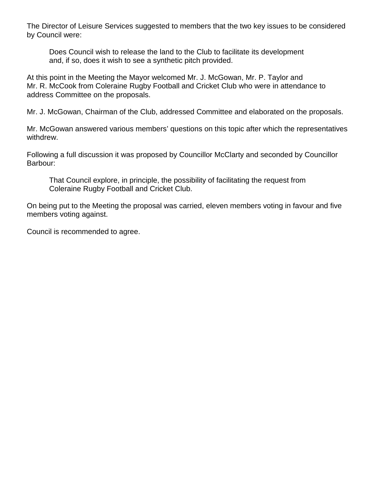The Director of Leisure Services suggested to members that the two key issues to be considered by Council were:

Does Council wish to release the land to the Club to facilitate its development and, if so, does it wish to see a synthetic pitch provided.

At this point in the Meeting the Mayor welcomed Mr. J. McGowan, Mr. P. Taylor and Mr. R. McCook from Coleraine Rugby Football and Cricket Club who were in attendance to address Committee on the proposals.

Mr. J. McGowan, Chairman of the Club, addressed Committee and elaborated on the proposals.

Mr. McGowan answered various members' questions on this topic after which the representatives withdrew.

Following a full discussion it was proposed by Councillor McClarty and seconded by Councillor Barbour:

That Council explore, in principle, the possibility of facilitating the request from Coleraine Rugby Football and Cricket Club.

On being put to the Meeting the proposal was carried, eleven members voting in favour and five members voting against.

Council is recommended to agree.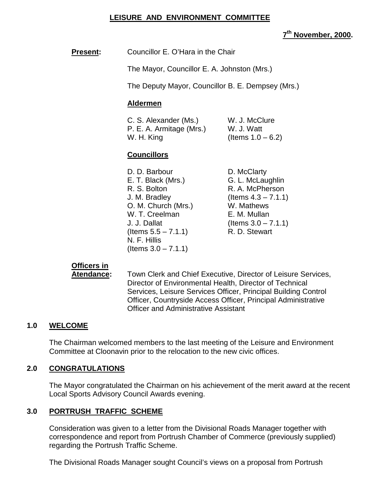### **LEISURE AND ENVIRONMENT COMMITTEE**

#### **7th November, 2000.**

**Present:** Councillor E. O'Hara in the Chair

The Mayor, Councillor E. A. Johnston (Mrs.)

The Deputy Mayor, Councillor B. E. Dempsey (Mrs.)

#### **Aldermen**

| C. S. Alexander (Ms.)    | W. J. McClure        |
|--------------------------|----------------------|
| P. E. A. Armitage (Mrs.) | W. J. Watt           |
| W. H. King               | (Items $1.0 - 6.2$ ) |

#### **Councillors**

| D. D. Barbour          | D. McClarty            |
|------------------------|------------------------|
| E. T. Black (Mrs.)     | G. L. McLaughlin       |
| R. S. Bolton           | R. A. McPherson        |
| J. M. Bradley          | (Items $4.3 - 7.1.1$ ) |
| O. M. Church (Mrs.)    | W. Mathews             |
| W. T. Creelman         | E. M. Mullan           |
| J. J. Dallat           | (Items $3.0 - 7.1.1$ ) |
| (Items $5.5 - 7.1.1$ ) | R. D. Stewart          |
| N. F. Hillis           |                        |
| (Items $3.0 - 7.1.1$ ) |                        |

### **Officers in**

**Atendance:** Town Clerk and Chief Executive, Director of Leisure Services, Director of Environmental Health, Director of Technical Services, Leisure Services Officer, Principal Building Control Officer, Countryside Access Officer, Principal Administrative Officer and Administrative Assistant

#### **1.0 WELCOME**

The Chairman welcomed members to the last meeting of the Leisure and Environment Committee at Cloonavin prior to the relocation to the new civic offices.

#### **2.0 CONGRATULATIONS**

The Mayor congratulated the Chairman on his achievement of the merit award at the recent Local Sports Advisory Council Awards evening.

#### **3.0 PORTRUSH TRAFFIC SCHEME**

Consideration was given to a letter from the Divisional Roads Manager together with correspondence and report from Portrush Chamber of Commerce (previously supplied) regarding the Portrush Traffic Scheme.

The Divisional Roads Manager sought Council's views on a proposal from Portrush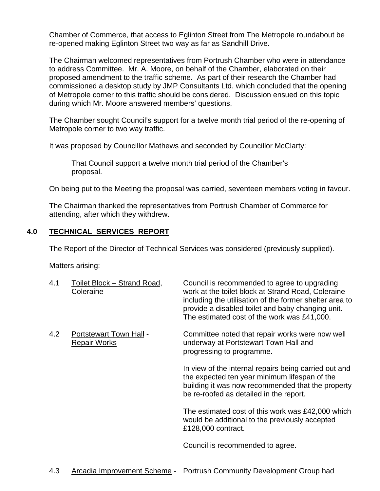Chamber of Commerce, that access to Eglinton Street from The Metropole roundabout be re-opened making Eglinton Street two way as far as Sandhill Drive.

The Chairman welcomed representatives from Portrush Chamber who were in attendance to address Committee. Mr. A. Moore, on behalf of the Chamber, elaborated on their proposed amendment to the traffic scheme. As part of their research the Chamber had commissioned a desktop study by JMP Consultants Ltd. which concluded that the opening of Metropole corner to this traffic should be considered. Discussion ensued on this topic during which Mr. Moore answered members' questions.

The Chamber sought Council's support for a twelve month trial period of the re-opening of Metropole corner to two way traffic.

It was proposed by Councillor Mathews and seconded by Councillor McClarty:

That Council support a twelve month trial period of the Chamber's proposal.

On being put to the Meeting the proposal was carried, seventeen members voting in favour.

The Chairman thanked the representatives from Portrush Chamber of Commerce for attending, after which they withdrew.

### **4.0 TECHNICAL SERVICES REPORT**

The Report of the Director of Technical Services was considered (previously supplied).

Matters arising:

| 4.1 | Toilet Block - Strand Road,<br>Coleraine       | Council is recommended to agree to upgrading<br>work at the toilet block at Strand Road, Coleraine<br>including the utilisation of the former shelter area to<br>provide a disabled toilet and baby changing unit.<br>The estimated cost of the work was £41,000. |
|-----|------------------------------------------------|-------------------------------------------------------------------------------------------------------------------------------------------------------------------------------------------------------------------------------------------------------------------|
| 4.2 | Portstewart Town Hall -<br><b>Repair Works</b> | Committee noted that repair works were now well<br>underway at Portstewart Town Hall and<br>progressing to programme.                                                                                                                                             |
|     |                                                | In view of the internal repairs being carried out and<br>the expected ten year minimum lifespan of the<br>building it was now recommended that the property<br>be re-roofed as detailed in the report.                                                            |
|     |                                                | The estimated cost of this work was £42,000 which<br>would be additional to the previously accepted<br>£128,000 contract.                                                                                                                                         |
|     |                                                | Council is recommended to agree.                                                                                                                                                                                                                                  |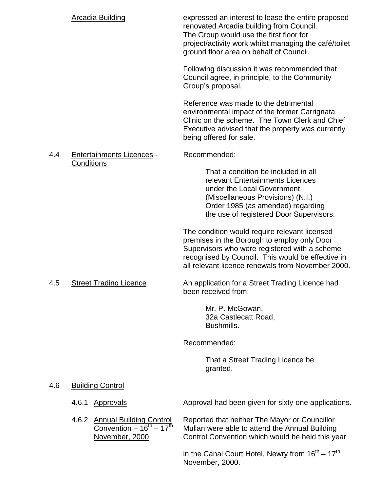|     | <b>Arcadia Building</b>                                                                                  | expressed an interest to lease the entire proposed<br>renovated Arcadia building from Council.<br>The Group would use the first floor for<br>project/activity work whilst managing the café/toilet<br>ground floor area on behalf of Council.           |
|-----|----------------------------------------------------------------------------------------------------------|---------------------------------------------------------------------------------------------------------------------------------------------------------------------------------------------------------------------------------------------------------|
|     |                                                                                                          | Following discussion it was recommended that<br>Council agree, in principle, to the Community<br>Group's proposal.                                                                                                                                      |
|     |                                                                                                          | Reference was made to the detrimental<br>environmental impact of the former Carrignata<br>Clinic on the scheme. The Town Clerk and Chief<br>Executive advised that the property was currently<br>being offered for sale.                                |
| 4.4 | <b>Entertainments Licences -</b>                                                                         | Recommended:                                                                                                                                                                                                                                            |
|     | Conditions                                                                                               | That a condition be included in all<br>relevant Entertainments Licences<br>under the Local Government<br>(Miscellaneous Provisions) (N.I.)<br>Order 1985 (as amended) regarding<br>the use of registered Door Supervisors.                              |
|     |                                                                                                          | The condition would require relevant licensed<br>premises in the Borough to employ only Door<br>Supervisors who were registered with a scheme<br>recognised by Council. This would be effective in<br>all relevant licence renewals from November 2000. |
| 4.5 | <b>Street Trading Licence</b>                                                                            | An application for a Street Trading Licence had<br>been received from:                                                                                                                                                                                  |
|     |                                                                                                          | Mr. P. McGowan,<br>32a Castlecatt Road,<br>Bushmills.                                                                                                                                                                                                   |
|     |                                                                                                          | Recommended:                                                                                                                                                                                                                                            |
|     |                                                                                                          | That a Street Trading Licence be<br>granted.                                                                                                                                                                                                            |
| 4.6 | <b>Building Control</b>                                                                                  |                                                                                                                                                                                                                                                         |
|     | <b>Approvals</b><br>4.6.1                                                                                | Approval had been given for sixty-one applications.                                                                                                                                                                                                     |
|     | 4.6.2 <u>Annual Building Control</u><br>Convention – $16^{\text{th}} - 17^{\text{th}}$<br>November, 2000 | Reported that neither The Mayor or Councillor<br>Mullan were able to attend the Annual Building<br>Control Convention which would be held this year                                                                                                     |
|     |                                                                                                          | in the Canal Court Hotel, Newry from $16^{th} - 17^{th}$<br>November, 2000.                                                                                                                                                                             |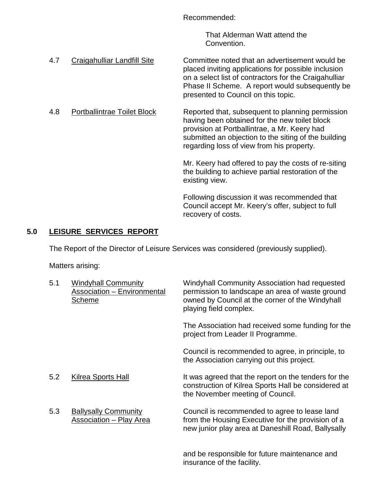Recommended:

That Alderman Watt attend the Convention.

- 4.7 Craigahulliar Landfill Site Committee noted that an advertisement would be placed inviting applications for possible inclusion on a select list of contractors for the Craigahulliar Phase II Scheme. A report would subsequently be presented to Council on this topic.
- 4.8 Portballintrae Toilet Block Reported that, subsequent to planning permission having been obtained for the new toilet block provision at Portballintrae, a Mr. Keery had submitted an objection to the siting of the building regarding loss of view from his property.

Mr. Keery had offered to pay the costs of re-siting the building to achieve partial restoration of the existing view.

Following discussion it was recommended that Council accept Mr. Keery's offer, subject to full recovery of costs.

# **5.0 LEISURE SERVICES REPORT**

The Report of the Director of Leisure Services was considered (previously supplied).

Matters arising:

| 5.1 | <b>Windyhall Community</b><br><b>Association - Environmental</b><br>Scheme | Windyhall Community Association had requested<br>permission to landscape an area of waste ground<br>owned by Council at the corner of the Windyhall<br>playing field complex. |
|-----|----------------------------------------------------------------------------|-------------------------------------------------------------------------------------------------------------------------------------------------------------------------------|
|     |                                                                            | The Association had received some funding for the<br>project from Leader II Programme.                                                                                        |
|     |                                                                            | Council is recommended to agree, in principle, to<br>the Association carrying out this project.                                                                               |
| 5.2 | Kilrea Sports Hall                                                         | It was agreed that the report on the tenders for the<br>construction of Kilrea Sports Hall be considered at<br>the November meeting of Council.                               |
| 5.3 | <b>Ballysally Community</b><br>Association - Play Area                     | Council is recommended to agree to lease land<br>from the Housing Executive for the provision of a<br>new junior play area at Daneshill Road, Ballysally                      |

and be responsible for future maintenance and insurance of the facility.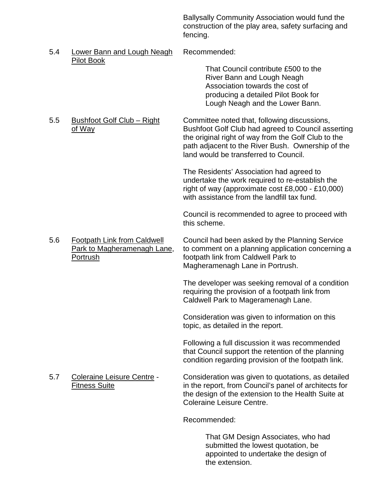Ballysally Community Association would fund the construction of the play area, safety surfacing and fencing.

5.4 Lower Bann and Lough Neagh Recommended: Pilot Book

That Council contribute £500 to the River Bann and Lough Neagh Association towards the cost of producing a detailed Pilot Book for Lough Neagh and the Lower Bann.

5.5 Bushfoot Golf Club – Right Committee noted that, following discussions, of Way **Bushfoot Golf Club had agreed to Council asserting** the original right of way from the Golf Club to the path adjacent to the River Bush. Ownership of the land would be transferred to Council.

> The Residents' Association had agreed to undertake the work required to re-establish the right of way (approximate cost £8,000 - £10,000) with assistance from the landfill tax fund.

Council is recommended to agree to proceed with this scheme.

5.6 Footpath Link from Caldwell Council had been asked by the Planning Service Park to Magheramenagh Lane, to comment on a planning application concerning a Portrush **Footpath link from Caldwell Park to** footpath link from Caldwell Park to Magheramenagh Lane in Portrush.

> The developer was seeking removal of a condition requiring the provision of a footpath link from Caldwell Park to Mageramenagh Lane.

Consideration was given to information on this topic, as detailed in the report.

Following a full discussion it was recommended that Council support the retention of the planning condition regarding provision of the footpath link.

5.7 Coleraine Leisure Centre - Consideration was given to quotations, as detailed Fitness Suite in the report, from Council's panel of architects for the design of the extension to the Health Suite at Coleraine Leisure Centre.

Recommended:

That GM Design Associates, who had submitted the lowest quotation, be appointed to undertake the design of the extension.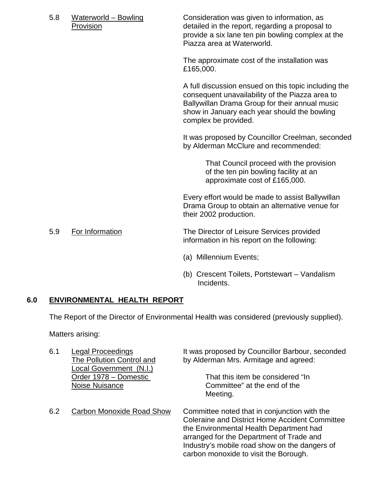| 5.8 | Waterworld - Bowling<br>Provision | Consideration was given to information, as<br>detailed in the report, regarding a proposal to<br>provide a six lane ten pin bowling complex at the<br>Piazza area at Waterworld.                                                  |
|-----|-----------------------------------|-----------------------------------------------------------------------------------------------------------------------------------------------------------------------------------------------------------------------------------|
|     |                                   | The approximate cost of the installation was<br>£165,000.                                                                                                                                                                         |
|     |                                   | A full discussion ensued on this topic including the<br>consequent unavailability of the Piazza area to<br>Ballywillan Drama Group for their annual music<br>show in January each year should the bowling<br>complex be provided. |
|     |                                   | It was proposed by Councillor Creelman, seconded<br>by Alderman McClure and recommended:                                                                                                                                          |
|     |                                   | That Council proceed with the provision<br>of the ten pin bowling facility at an<br>approximate cost of £165,000.                                                                                                                 |
|     |                                   | Every effort would be made to assist Ballywillan<br>Drama Group to obtain an alternative venue for<br>their 2002 production.                                                                                                      |

5.9 For Information The Director of Leisure Services provided information in his report on the following:

- (a) Millennium Events;
- (b) Crescent Toilets, Portstewart Vandalism Incidents.

#### **6.0 ENVIRONMENTAL HEALTH REPORT**

The Report of the Director of Environmental Health was considered (previously supplied).

Matters arising:

| 6.1 | Legal Proceedings                                    | It was proposed by Councillor Barbour, seconded                                                                                                                                                                                                                                        |
|-----|------------------------------------------------------|----------------------------------------------------------------------------------------------------------------------------------------------------------------------------------------------------------------------------------------------------------------------------------------|
|     | The Pollution Control and<br>Local Government (N.I.) | by Alderman Mrs. Armitage and agreed:                                                                                                                                                                                                                                                  |
|     | Order 1978 - Domestic<br>Noise Nuisance              | That this item be considered "In<br>Committee" at the end of the<br>Meeting.                                                                                                                                                                                                           |
| 6.2 | <b>Carbon Monoxide Road Show</b>                     | Committee noted that in conjunction with the<br><b>Coleraine and District Home Accident Committee</b><br>the Environmental Health Department had<br>arranged for the Department of Trade and<br>Industry's mobile road show on the dangers of<br>carbon monoxide to visit the Borough. |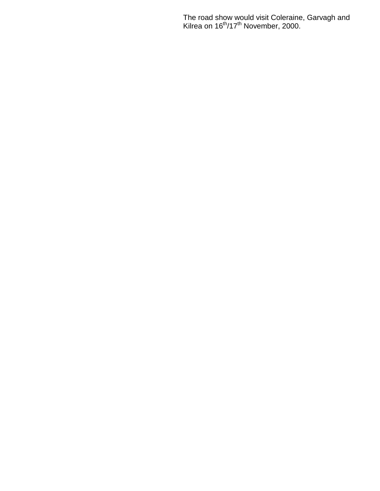The road show would visit Coleraine, Garvagh and Kilrea on 16<sup>th</sup>/17<sup>th</sup> November, 2000.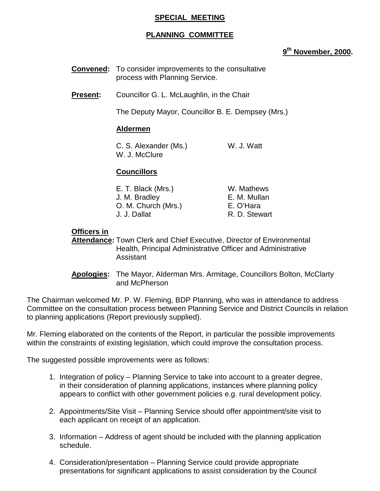#### **SPECIAL MEETING**

#### **PLANNING COMMITTEE**

#### **9th November, 2000.**

- **Convened:** To consider improvements to the consultative process with Planning Service.
- **Present:** Councillor G. L. McLaughlin, in the Chair

The Deputy Mayor, Councillor B. E. Dempsey (Mrs.)

#### **Aldermen**

C. S. Alexander (Ms.) W. J. Watt W. J. McClure

#### **Councillors**

| W. Mathews    |
|---------------|
| E. M. Mullan  |
| E. O'Hara     |
| R. D. Stewart |
|               |

#### **Officers in**

**Attendance:** Town Clerk and Chief Executive, Director of Environmental Health, Principal Administrative Officer and Administrative Assistant

**Apologies:** The Mayor, Alderman Mrs. Armitage, Councillors Bolton, McClarty and McPherson

The Chairman welcomed Mr. P. W. Fleming, BDP Planning, who was in attendance to address Committee on the consultation process between Planning Service and District Councils in relation to planning applications (Report previously supplied).

Mr. Fleming elaborated on the contents of the Report, in particular the possible improvements within the constraints of existing legislation, which could improve the consultation process.

The suggested possible improvements were as follows:

- 1. Integration of policy Planning Service to take into account to a greater degree, in their consideration of planning applications, instances where planning policy appears to conflict with other government policies e.g. rural development policy.
- 2. Appointments/Site Visit Planning Service should offer appointment/site visit to each applicant on receipt of an application.
- 3. Information Address of agent should be included with the planning application schedule.
- 4. Consideration/presentation Planning Service could provide appropriate presentations for significant applications to assist consideration by the Council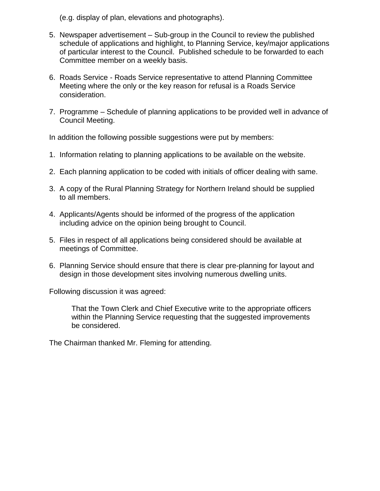(e.g. display of plan, elevations and photographs).

- 5. Newspaper advertisement Sub-group in the Council to review the published schedule of applications and highlight, to Planning Service, key/major applications of particular interest to the Council. Published schedule to be forwarded to each Committee member on a weekly basis.
- 6. Roads Service Roads Service representative to attend Planning Committee Meeting where the only or the key reason for refusal is a Roads Service consideration.
- 7. Programme Schedule of planning applications to be provided well in advance of Council Meeting.

In addition the following possible suggestions were put by members:

- 1. Information relating to planning applications to be available on the website.
- 2. Each planning application to be coded with initials of officer dealing with same.
- 3. A copy of the Rural Planning Strategy for Northern Ireland should be supplied to all members.
- 4. Applicants/Agents should be informed of the progress of the application including advice on the opinion being brought to Council.
- 5. Files in respect of all applications being considered should be available at meetings of Committee.
- 6. Planning Service should ensure that there is clear pre-planning for layout and design in those development sites involving numerous dwelling units.

Following discussion it was agreed:

That the Town Clerk and Chief Executive write to the appropriate officers within the Planning Service requesting that the suggested improvements be considered.

The Chairman thanked Mr. Fleming for attending.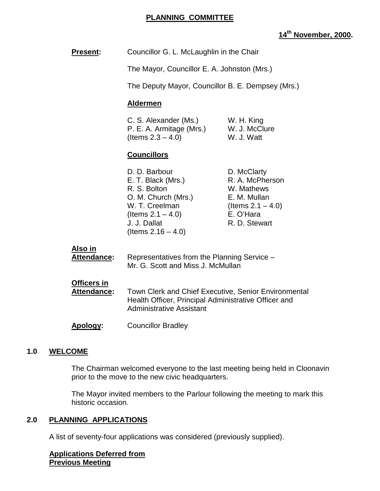#### **PLANNING COMMITTEE**

### **14th November, 2000.**

**Present:** Councillor G. L. McLaughlin in the Chair

The Mayor, Councillor E. A. Johnston (Mrs.)

The Deputy Mayor, Councillor B. E. Dempsey (Mrs.)

#### **Aldermen**

| C. S. Alexander (Ms.)    | W. H. King    |
|--------------------------|---------------|
| P. E. A. Armitage (Mrs.) | W. J. McClure |
| (Items $2.3 - 4.0$ )     | W. J. Watt    |

#### **Councillors**

| D. D. Barbour         | D. McClarty          |
|-----------------------|----------------------|
| E. T. Black (Mrs.)    | R. A. McPherson      |
| R. S. Bolton          | W. Mathews           |
| O. M. Church (Mrs.)   | E. M. Mullan         |
| W. T. Creelman        | (Items $2.1 - 4.0$ ) |
| (Items $2.1 - 4.0$ )  | E. O'Hara            |
| J. J. Dallat          | R. D. Stewart        |
| (Items $2.16 - 4.0$ ) |                      |
|                       |                      |

#### **Also in**

| Attendance: | Representatives from the Planning Service - |
|-------------|---------------------------------------------|
|             | Mr. G. Scott and Miss J. McMullan           |
| Officers in |                                             |

**Attendance:** Town Clerk and Chief Executive, Senior Environmental Health Officer, Principal Administrative Officer and Administrative Assistant

**Apology:** Councillor Bradley

#### **1.0 WELCOME**

The Chairman welcomed everyone to the last meeting being held in Cloonavin prior to the move to the new civic headquarters.

The Mayor invited members to the Parlour following the meeting to mark this historic occasion.

#### **2.0 PLANNING APPLICATIONS**

A list of seventy-four applications was considered (previously supplied).

**Applications Deferred from Previous Meeting**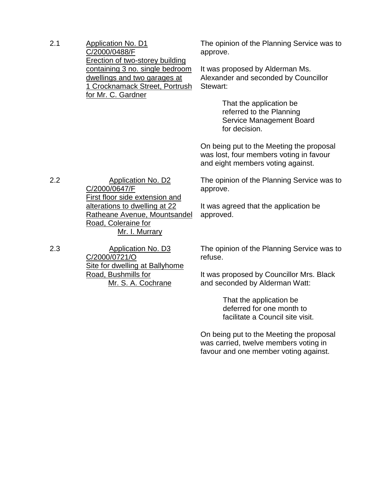2.1 Application No. D1 C/2000/0488/F Erection of two-storey building containing 3 no. single bedroom dwellings and two garages at 1 Crocknamack Street, Portrush for Mr. C. Gardner

The opinion of the Planning Service was to approve.

It was proposed by Alderman Ms. Alexander and seconded by Councillor Stewart:

> That the application be referred to the Planning Service Management Board for decision.

On being put to the Meeting the proposal was lost, four members voting in favour and eight members voting against.

The opinion of the Planning Service was to approve.

It was agreed that the application be approved.

2.3 Application No. D3 C/2000/0721/O Site for dwelling at Ballyhome Road, Bushmills for Mr. S. A. Cochrane

Road, Coleraine for

C/2000/0647/F

First floor side extension and alterations to dwelling at 22 Ratheane Avenue, Mountsandel

Mr. I. Murrary

The opinion of the Planning Service was to refuse.

It was proposed by Councillor Mrs. Black and seconded by Alderman Watt:

> That the application be deferred for one month to facilitate a Council site visit.

On being put to the Meeting the proposal was carried, twelve members voting in favour and one member voting against.

2.2 Application No. D2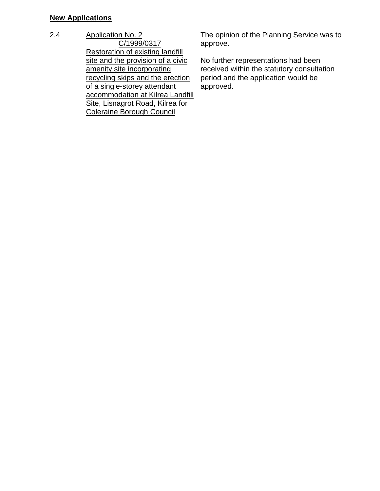### **New Applications**

2.4 Application No. 2

C/1999/0317 Restoration of existing landfill site and the provision of a civic amenity site incorporating recycling skips and the erection of a single-storey attendant accommodation at Kilrea Landfill Site, Lisnagrot Road, Kilrea for Coleraine Borough Council

The opinion of the Planning Service was to approve.

No further representations had been received within the statutory consultation period and the application would be approved.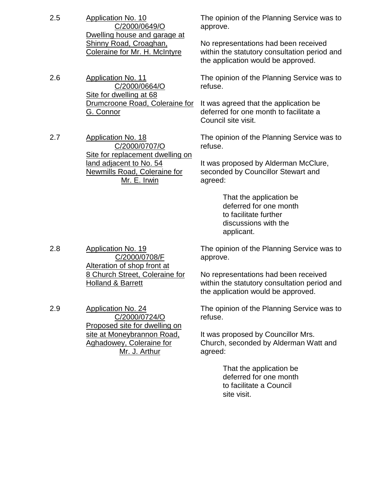2.5 Application No. 10 C/2000/0649/O Dwelling house and garage at Shinny Road, Croaghan, Coleraine for Mr. H. McIntyre approve. 2.6 Application No. 11 C/2000/0664/O Site for dwelling at 68 Drumcroone Road, Coleraine for G. Connor refuse. Council site visit. 2.7 Application No. 18 C/2000/0707/O Site for replacement dwelling on land adjacent to No. 54 Newmills Road, Coleraine for refuse.

Mr. E. Irwin

The opinion of the Planning Service was to

No representations had been received within the statutory consultation period and the application would be approved.

The opinion of the Planning Service was to

It was agreed that the application be deferred for one month to facilitate a

The opinion of the Planning Service was to

It was proposed by Alderman McClure, seconded by Councillor Stewart and agreed:

> That the application be deferred for one month to facilitate further discussions with the applicant.

2.8 Application No. 19 C/2000/0708/F Alteration of shop front at 8 Church Street, Coleraine for Holland & Barrett

2.9 Application No. 24 C/2000/0724/O Proposed site for dwelling on site at Moneybrannon Road, Aghadowey, Coleraine for Mr. J. Arthur

The opinion of the Planning Service was to approve.

No representations had been received within the statutory consultation period and the application would be approved.

The opinion of the Planning Service was to refuse.

It was proposed by Councillor Mrs. Church, seconded by Alderman Watt and agreed:

> That the application be deferred for one month to facilitate a Council site visit.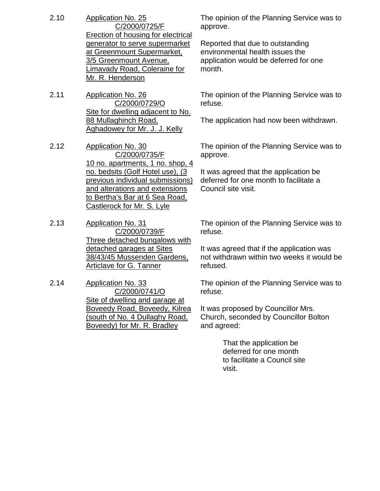- 2.10 Application No. 25 C/2000/0725/F Erection of housing for electrical generator to serve supermarket at Greenmount Supermarket, 3/5 Greenmount Avenue, Limavady Road, Coleraine for Mr. R. Henderson
- 2.11 Application No. 26 C/2000/0729/O Site for dwelling adjacent to No. 88 Mullaghinch Road, Aghadowey for Mr. J. J. Kelly
- 2.12 Application No. 30 C/2000/0735/F 10 no. apartments, 1 no. shop, 4 no. bedsits (Golf Hotel use), (3 previous individual submissions) and alterations and extensions to Bertha's Bar at 6 Sea Road, Castlerock for Mr. S. Lyle
- 2.13 Application No. 31 C/2000/0739/F Three detached bungalows with detached garages at Sites 38/43/45 Mussenden Gardens, Articlave for G. Tanner
- 2.14 Application No. 33 C/2000/0741/O Site of dwelling and garage at Boveedy Road, Boveedy, Kilrea (south of No. 4 Dullaghy Road, Boveedy) for Mr. R. Bradley

The opinion of the Planning Service was to approve.

Reported that due to outstanding environmental health issues the application would be deferred for one month.

The opinion of the Planning Service was to refuse.

The application had now been withdrawn.

The opinion of the Planning Service was to approve.

It was agreed that the application be deferred for one month to facilitate a Council site visit.

The opinion of the Planning Service was to refuse.

It was agreed that if the application was not withdrawn within two weeks it would be refused.

The opinion of the Planning Service was to refuse.

It was proposed by Councillor Mrs. Church, seconded by Councillor Bolton and agreed:

> That the application be deferred for one month to facilitate a Council site visit.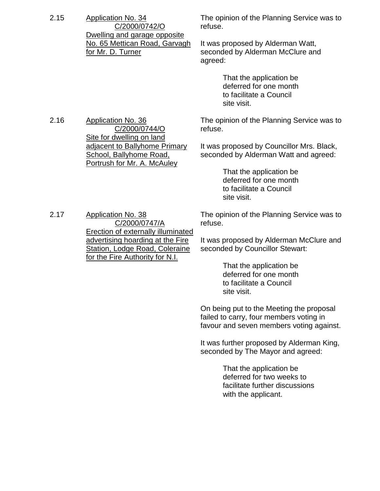2.15 Application No. 34 C/2000/0742/O Dwelling and garage opposite No. 65 Mettican Road, Garvagh for Mr. D. Turner

2.16 Application No. 36

The opinion of the Planning Service was to refuse.

It was proposed by Alderman Watt, seconded by Alderman McClure and agreed:

> That the application be deferred for one month to facilitate a Council site visit.

The opinion of the Planning Service was to refuse.

It was proposed by Councillor Mrs. Black, seconded by Alderman Watt and agreed:

> That the application be deferred for one month to facilitate a Council site visit.

2.17 Application No. 38 C/2000/0747/A Erection of externally illuminated advertising hoarding at the Fire Station, Lodge Road, Coleraine for the Fire Authority for N.I.

C/2000/0744/O

adjacent to Ballyhome Primary School, Ballyhome Road, Portrush for Mr. A. McAuley

Site for dwelling on land

The opinion of the Planning Service was to refuse.

It was proposed by Alderman McClure and seconded by Councillor Stewart:

> That the application be deferred for one month to facilitate a Council site visit.

On being put to the Meeting the proposal failed to carry, four members voting in favour and seven members voting against.

It was further proposed by Alderman King, seconded by The Mayor and agreed:

> That the application be deferred for two weeks to facilitate further discussions with the applicant.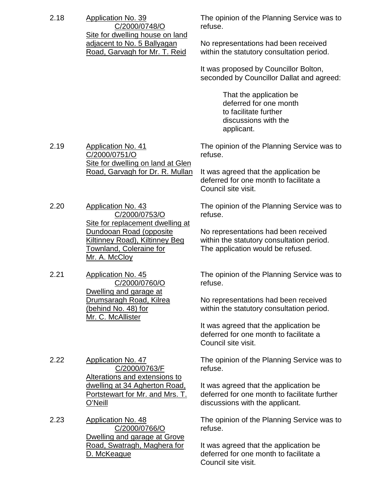| 2.18 | <b>Application No. 39</b><br>C/2000/0748/O<br>Site for dwelling house on land                                                             | The opinion of the Planning Service was to<br>refuse.                                                                    |
|------|-------------------------------------------------------------------------------------------------------------------------------------------|--------------------------------------------------------------------------------------------------------------------------|
|      | adjacent to No. 5 Ballyagan<br>Road, Garvagh for Mr. T. Reid                                                                              | No representations had been received<br>within the statutory consultation period.                                        |
|      |                                                                                                                                           | It was proposed by Councillor Bolton,<br>seconded by Councillor Dallat and agreed:                                       |
|      |                                                                                                                                           | That the application be<br>deferred for one month<br>to facilitate further<br>discussions with the<br>applicant.         |
| 2.19 | <b>Application No. 41</b><br>C/2000/0751/O<br>Site for dwelling on land at Glen                                                           | The opinion of the Planning Service was to<br>refuse.                                                                    |
|      | Road, Garvagh for Dr. R. Mullan                                                                                                           | It was agreed that the application be<br>deferred for one month to facilitate a<br>Council site visit.                   |
| 2.20 | <b>Application No. 43</b><br>C/2000/0753/O                                                                                                | The opinion of the Planning Service was to<br>refuse.                                                                    |
|      | Site for replacement dwelling at<br>Dundooan Road (opposite<br>Kiltinney Road), Kiltinney Beg<br>Townland, Coleraine for<br>Mr. A. McCloy | No representations had been received<br>within the statutory consultation period.<br>The application would be refused.   |
| 2.21 | <b>Application No. 45</b><br>C/2000/0760/O<br>Dwelling and garage at                                                                      | The opinion of the Planning Service was to<br>refuse.                                                                    |
|      | Drumsaragh Road, Kilrea<br>(behind No. 48) for<br>Mr. C. McAllister                                                                       | No representations had been received<br>within the statutory consultation period.                                        |
|      |                                                                                                                                           | It was agreed that the application be<br>deferred for one month to facilitate a<br>Council site visit.                   |
| 2.22 | <b>Application No. 47</b><br>C/2000/0763/F<br>Alterations and extensions to                                                               | The opinion of the Planning Service was to<br>refuse.                                                                    |
|      | dwelling at 34 Agherton Road,<br>Portstewart for Mr. and Mrs. T.<br>O'Neill                                                               | It was agreed that the application be<br>deferred for one month to facilitate further<br>discussions with the applicant. |
| 2.23 | <b>Application No. 48</b><br>C/2000/0766/O<br>Dwelling and garage at Grove                                                                | The opinion of the Planning Service was to<br>refuse.                                                                    |
|      | Road, Swatragh, Maghera for<br>D. McKeague                                                                                                | It was agreed that the application be<br>deferred for one month to facilitate a<br>Council site visit.                   |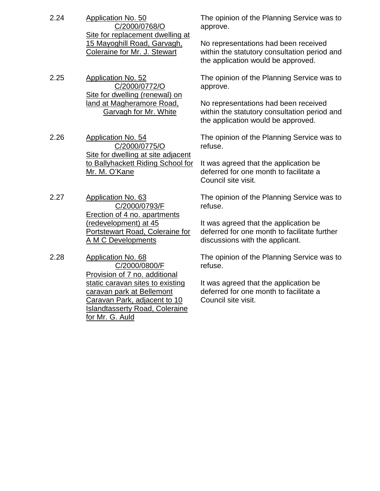- 2.24 Application No. 50 C/2000/0768/O Site for replacement dwelling at 15 Mayoghill Road, Garvagh, Coleraine for Mr. J. Stewart
- 2.25 Application No. 52 C/2000/0772/O Site for dwelling (renewal) on land at Magheramore Road, Garvagh for Mr. White
- 2.26 Application No. 54 C/2000/0775/O Site for dwelling at site adjacent to Ballyhackett Riding School for Mr. M. O'Kane
- 2.27 Application No. 63 C/2000/0793/F Erection of 4 no. apartments (redevelopment) at 45 Portstewart Road, Coleraine for A M C Developments
- 2.28 Application No. 68 C/2000/0800/F Provision of 7 no. additional static caravan sites to existing caravan park at Bellemont Caravan Park, adjacent to 10 Islandtasserty Road, Coleraine for Mr. G. Auld

The opinion of the Planning Service was to approve.

No representations had been received within the statutory consultation period and the application would be approved.

The opinion of the Planning Service was to approve.

No representations had been received within the statutory consultation period and the application would be approved.

The opinion of the Planning Service was to refuse.

It was agreed that the application be deferred for one month to facilitate a Council site visit.

The opinion of the Planning Service was to refuse.

It was agreed that the application be deferred for one month to facilitate further discussions with the applicant.

The opinion of the Planning Service was to refuse.

It was agreed that the application be deferred for one month to facilitate a Council site visit.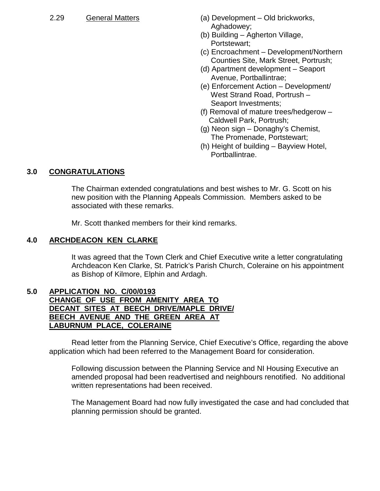- 2.29 General Matters (a) Development Old brickworks, Aghadowey;
	- (b) Building Agherton Village, Portstewart;
	- (c) Encroachment Development/Northern Counties Site, Mark Street, Portrush;
	- (d) Apartment development Seaport Avenue, Portballintrae;
	- (e) Enforcement Action Development/ West Strand Road, Portrush – Seaport Investments;
	- (f) Removal of mature trees/hedgerow Caldwell Park, Portrush;
	- (g) Neon sign Donaghy's Chemist, The Promenade, Portstewart;
	- (h) Height of building Bayview Hotel, Portballintrae.

# **3.0 CONGRATULATIONS**

The Chairman extended congratulations and best wishes to Mr. G. Scott on his new position with the Planning Appeals Commission. Members asked to be associated with these remarks.

Mr. Scott thanked members for their kind remarks.

### **4.0 ARCHDEACON KEN CLARKE**

It was agreed that the Town Clerk and Chief Executive write a letter congratulating Archdeacon Ken Clarke, St. Patrick's Parish Church, Coleraine on his appointment as Bishop of Kilmore, Elphin and Ardagh.

#### **5.0 APPLICATION NO. C/00/0193 CHANGE OF USE FROM AMENITY AREA TO DECANT SITES AT BEECH DRIVE/MAPLE DRIVE/ BEECH AVENUE AND THE GREEN AREA AT LABURNUM PLACE, COLERAINE**

Read letter from the Planning Service, Chief Executive's Office, regarding the above application which had been referred to the Management Board for consideration.

Following discussion between the Planning Service and NI Housing Executive an amended proposal had been readvertised and neighbours renotified. No additional written representations had been received.

The Management Board had now fully investigated the case and had concluded that planning permission should be granted.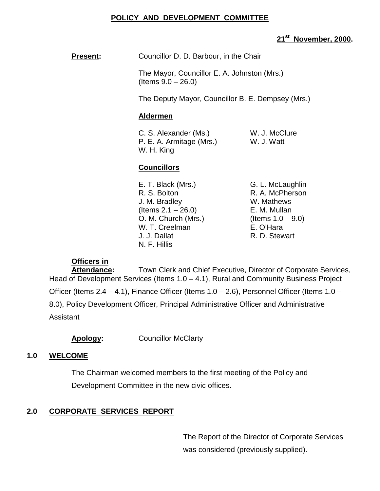### **POLICY AND DEVELOPMENT COMMITTEE**

### **21st November, 2000.**

**Present:** Councillor D. D. Barbour, in the Chair

The Mayor, Councillor E. A. Johnston (Mrs.)  $($  Items  $9.0 - 26.0)$ 

The Deputy Mayor, Councillor B. E. Dempsey (Mrs.)

#### **Aldermen**

C. S. Alexander (Ms.) W. J. McClure P. E. A. Armitage (Mrs.) W. J. Watt W. H. King

#### **Councillors**

- E. T. Black (Mrs.) G. L. McLaughlin R. S. Bolton R. A. McPherson J. M. Bradley W. Mathews (Items 2.1 – 26.0) E. M. Mullan O. M. Church (Mrs.) (Items  $1.0 - 9.0$ ) W. T. Creelman E. O'Hara J. J. Dallat R. D. Stewart N. F. Hillis
	-

### **Officers in**

**Attendance:** Town Clerk and Chief Executive, Director of Corporate Services, Head of Development Services (Items 1.0 – 4.1), Rural and Community Business Project Officer (Items 2.4 – 4.1), Finance Officer (Items 1.0 – 2.6), Personnel Officer (Items 1.0 – 8.0), Policy Development Officer, Principal Administrative Officer and Administrative Assistant

**Apology:** Councillor McClarty

#### **1.0 WELCOME**

The Chairman welcomed members to the first meeting of the Policy and Development Committee in the new civic offices.

# **2.0 CORPORATE SERVICES REPORT**

The Report of the Director of Corporate Services was considered (previously supplied).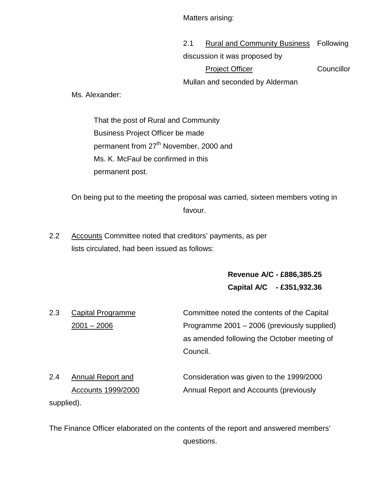Matters arising:

2.1 Rural and Community Business Following discussion it was proposed by Project Officer Councillor Mullan and seconded by Alderman

Ms. Alexander:

That the post of Rural and Community Business Project Officer be made permanent from 27<sup>th</sup> November, 2000 and Ms. K. McFaul be confirmed in this permanent post.

On being put to the meeting the proposal was carried, sixteen members voting in favour.

2.2 Accounts Committee noted that creditors' payments, as per lists circulated, had been issued as follows:

> **Revenue A/C - £886,385.25 Capital A/C - £351,932.36**

2.3 Capital Programme Committee noted the contents of the Capital 2001 – 2006 Programme 2001 – 2006 (previously supplied) as amended following the October meeting of Council.

| 2.4 | Annual Report and  | Consideration was given to the 1999/2000 |
|-----|--------------------|------------------------------------------|
|     | Accounts 1999/2000 | Annual Report and Accounts (previously   |
|     | supplied).         |                                          |

The Finance Officer elaborated on the contents of the report and answered members' questions.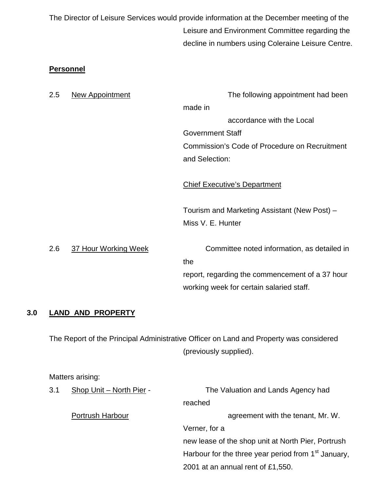The Director of Leisure Services would provide information at the December meeting of the Leisure and Environment Committee regarding the decline in numbers using Coleraine Leisure Centre.

### **Personnel**

| 2.5 | <b>New Appointment</b> | The following appointment had been              |
|-----|------------------------|-------------------------------------------------|
|     |                        | made in                                         |
|     |                        | accordance with the Local                       |
|     |                        | <b>Government Staff</b>                         |
|     |                        | Commission's Code of Procedure on Recruitment   |
|     |                        | and Selection:                                  |
|     |                        |                                                 |
|     |                        | <b>Chief Executive's Department</b>             |
|     |                        |                                                 |
|     |                        | Tourism and Marketing Assistant (New Post) -    |
|     |                        | Miss V. E. Hunter                               |
|     |                        |                                                 |
| 2.6 | 37 Hour Working Week   | Committee noted information, as detailed in     |
|     |                        | the                                             |
|     |                        | report, regarding the commencement of a 37 hour |
|     |                        | working week for certain salaried staff.        |
|     |                        |                                                 |

### **3.0 LAND AND PROPERTY**

The Report of the Principal Administrative Officer on Land and Property was considered (previously supplied).

Matters arising:

| 3.1 | Shop Unit - North Pier - | The Valuation and Lands Agency had                              |
|-----|--------------------------|-----------------------------------------------------------------|
|     |                          | reached                                                         |
|     | Portrush Harbour         | agreement with the tenant, Mr. W.                               |
|     |                          | Verner, for a                                                   |
|     |                          | new lease of the shop unit at North Pier, Portrush              |
|     |                          | Harbour for the three year period from 1 <sup>st</sup> January, |
|     |                          | 2001 at an annual rent of £1,550.                               |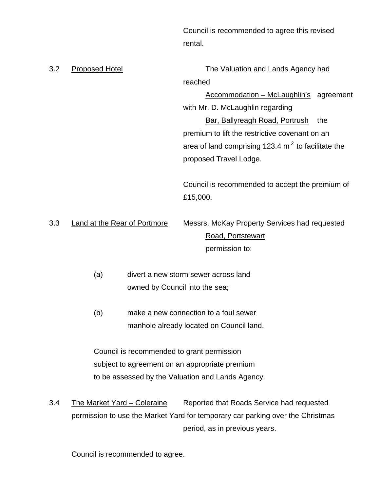Council is recommended to agree this revised rental.

3.2 Proposed Hotel The Valuation and Lands Agency had reached

> Accommodation – McLaughlin's agreement with Mr. D. McLaughlin regarding Bar, Ballyreagh Road, Portrush the premium to lift the restrictive covenant on an area of land comprising 123.4  $m<sup>2</sup>$  to facilitate the proposed Travel Lodge.

Council is recommended to accept the premium of £15,000.

3.3 Land at the Rear of Portmore Messrs. McKay Property Services had requested Road, Portstewart permission to:

- (a) divert a new storm sewer across land owned by Council into the sea;
- (b) make a new connection to a foul sewer manhole already located on Council land.

Council is recommended to grant permission subject to agreement on an appropriate premium to be assessed by the Valuation and Lands Agency.

3.4 The Market Yard – Coleraine Reported that Roads Service had requested permission to use the Market Yard for temporary car parking over the Christmas period, as in previous years.

Council is recommended to agree.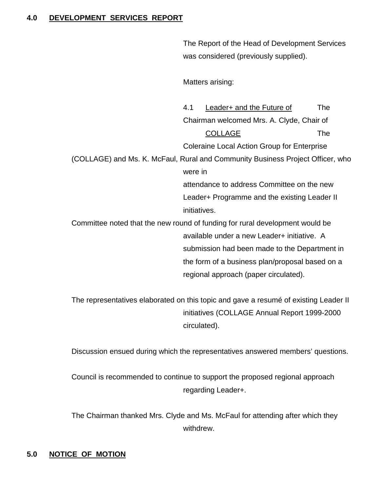#### **4.0 DEVELOPMENT SERVICES REPORT**

The Report of the Head of Development Services was considered (previously supplied).

Matters arising:

4.1 Leader+ and the Future of The Chairman welcomed Mrs. A. Clyde, Chair of COLLAGE The Coleraine Local Action Group for Enterprise (COLLAGE) and Ms. K. McFaul, Rural and Community Business Project Officer, who were in attendance to address Committee on the new Leader+ Programme and the existing Leader II initiatives. Committee noted that the new round of funding for rural development would be available under a new Leader+ initiative. A submission had been made to the Department in the form of a business plan/proposal based on a regional approach (paper circulated).

The representatives elaborated on this topic and gave a resumé of existing Leader II initiatives (COLLAGE Annual Report 1999-2000 circulated).

Discussion ensued during which the representatives answered members' questions.

Council is recommended to continue to support the proposed regional approach regarding Leader+.

The Chairman thanked Mrs. Clyde and Ms. McFaul for attending after which they withdrew.

# **5.0 NOTICE OF MOTION**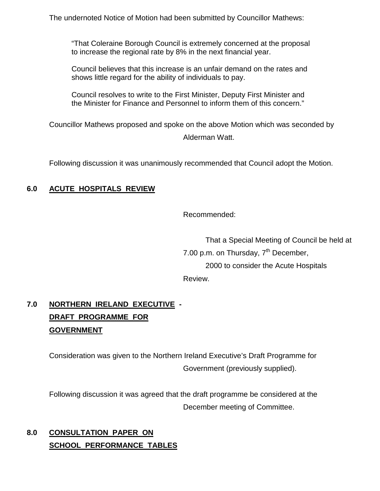The undernoted Notice of Motion had been submitted by Councillor Mathews:

"That Coleraine Borough Council is extremely concerned at the proposal to increase the regional rate by 8% in the next financial year.

Council believes that this increase is an unfair demand on the rates and shows little regard for the ability of individuals to pay.

Council resolves to write to the First Minister, Deputy First Minister and the Minister for Finance and Personnel to inform them of this concern."

Councillor Mathews proposed and spoke on the above Motion which was seconded by Alderman Watt.

Following discussion it was unanimously recommended that Council adopt the Motion.

# **6.0 ACUTE HOSPITALS REVIEW**

Recommended:

That a Special Meeting of Council be held at 7.00 p.m. on Thursday,  $7<sup>th</sup>$  December, 2000 to consider the Acute Hospitals Review.

# **7.0 NORTHERN IRELAND EXECUTIVE - DRAFT PROGRAMME FOR GOVERNMENT**

Consideration was given to the Northern Ireland Executive's Draft Programme for Government (previously supplied).

Following discussion it was agreed that the draft programme be considered at the December meeting of Committee.

# **8.0 CONSULTATION PAPER ON SCHOOL PERFORMANCE TABLES**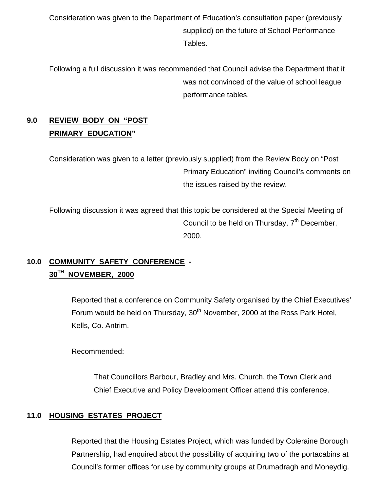Consideration was given to the Department of Education's consultation paper (previously supplied) on the future of School Performance Tables.

Following a full discussion it was recommended that Council advise the Department that it was not convinced of the value of school league performance tables.

# **9.0 REVIEW BODY ON "POST PRIMARY EDUCATION"**

Consideration was given to a letter (previously supplied) from the Review Body on "Post Primary Education" inviting Council's comments on the issues raised by the review.

Following discussion it was agreed that this topic be considered at the Special Meeting of Council to be held on Thursday,  $7<sup>th</sup>$  December, 2000.

# **10.0 COMMUNITY SAFETY CONFERENCE - 30TH NOVEMBER, 2000**

Reported that a conference on Community Safety organised by the Chief Executives' Forum would be held on Thursday, 30<sup>th</sup> November, 2000 at the Ross Park Hotel, Kells, Co. Antrim.

Recommended:

That Councillors Barbour, Bradley and Mrs. Church, the Town Clerk and Chief Executive and Policy Development Officer attend this conference.

# **11.0 HOUSING ESTATES PROJECT**

Reported that the Housing Estates Project, which was funded by Coleraine Borough Partnership, had enquired about the possibility of acquiring two of the portacabins at Council's former offices for use by community groups at Drumadragh and Moneydig.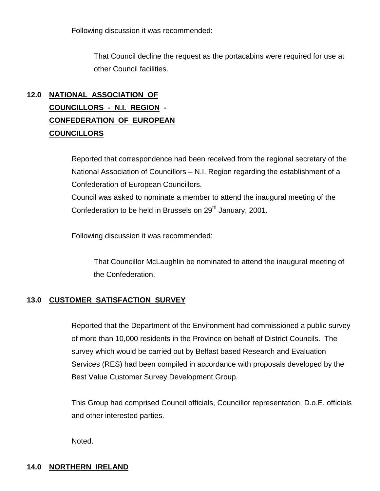Following discussion it was recommended:

That Council decline the request as the portacabins were required for use at other Council facilities.

# **12.0 NATIONAL ASSOCIATION OF COUNCILLORS - N.I. REGION - CONFEDERATION OF EUROPEAN COUNCILLORS**

Reported that correspondence had been received from the regional secretary of the National Association of Councillors – N.I. Region regarding the establishment of a Confederation of European Councillors.

Council was asked to nominate a member to attend the inaugural meeting of the Confederation to be held in Brussels on 29<sup>th</sup> January, 2001.

Following discussion it was recommended:

That Councillor McLaughlin be nominated to attend the inaugural meeting of the Confederation.

# **13.0 CUSTOMER SATISFACTION SURVEY**

Reported that the Department of the Environment had commissioned a public survey of more than 10,000 residents in the Province on behalf of District Councils. The survey which would be carried out by Belfast based Research and Evaluation Services (RES) had been compiled in accordance with proposals developed by the Best Value Customer Survey Development Group.

This Group had comprised Council officials, Councillor representation, D.o.E. officials and other interested parties.

Noted.

### **14.0 NORTHERN IRELAND**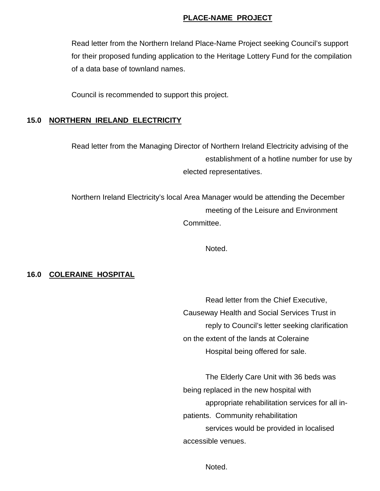#### **PLACE-NAME PROJECT**

Read letter from the Northern Ireland Place-Name Project seeking Council's support for their proposed funding application to the Heritage Lottery Fund for the compilation of a data base of townland names.

Council is recommended to support this project.

### **15.0 NORTHERN IRELAND ELECTRICITY**

Read letter from the Managing Director of Northern Ireland Electricity advising of the establishment of a hotline number for use by elected representatives.

Northern Ireland Electricity's local Area Manager would be attending the December meeting of the Leisure and Environment Committee.

Noted.

#### **16.0 COLERAINE HOSPITAL**

Read letter from the Chief Executive, Causeway Health and Social Services Trust in reply to Council's letter seeking clarification on the extent of the lands at Coleraine Hospital being offered for sale.

The Elderly Care Unit with 36 beds was being replaced in the new hospital with appropriate rehabilitation services for all inpatients. Community rehabilitation services would be provided in localised accessible venues.

Noted.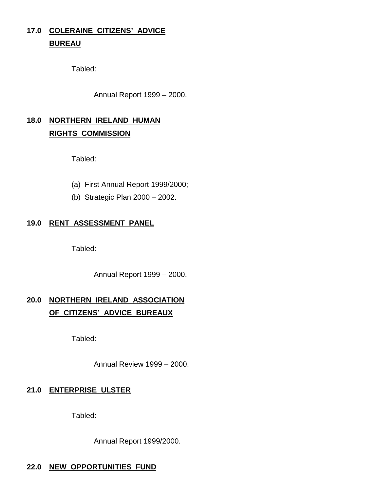# **17.0 COLERAINE CITIZENS' ADVICE BUREAU**

Tabled:

Annual Report 1999 – 2000.

# **18.0 NORTHERN IRELAND HUMAN RIGHTS COMMISSION**

Tabled:

- (a) First Annual Report 1999/2000;
- (b) Strategic Plan 2000 2002.

### **19.0 RENT ASSESSMENT PANEL**

Tabled:

Annual Report 1999 – 2000.

# **20.0 NORTHERN IRELAND ASSOCIATION OF CITIZENS' ADVICE BUREAUX**

Tabled:

Annual Review 1999 – 2000.

# **21.0 ENTERPRISE ULSTER**

Tabled:

Annual Report 1999/2000.

#### **22.0 NEW OPPORTUNITIES FUND**